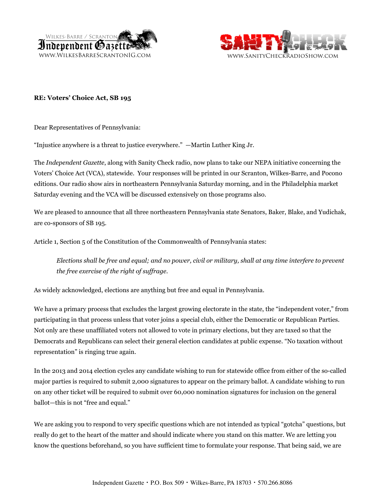



## **RE: Voters' Choice Act, SB 195**

Dear Representatives of Pennsylvania:

"Injustice anywhere is a threat to justice everywhere." —Martin Luther King Jr.

The *Independent Gazette*, along with Sanity Check radio, now plans to take our NEPA initiative concerning the Voters' Choice Act (VCA), statewide. Your responses will be printed in our Scranton, Wilkes-Barre, and Pocono editions. Our radio show airs in northeastern Pennsylvania Saturday morning, and in the Philadelphia market Saturday evening and the VCA will be discussed extensively on those programs also.

We are pleased to announce that all three northeastern Pennsylvania state Senators, Baker, Blake, and Yudichak, are co-sponsors of SB 195.

Article 1, Section 5 of the Constitution of the Commonwealth of Pennsylvania states:

 *Elections shall be free and equal; and no power, civil or military, shall at any time interfere to prevent the free exercise of the right of suffrage.*

As widely acknowledged, elections are anything but free and equal in Pennsylvania.

We have a primary process that excludes the largest growing electorate in the state, the "independent voter," from participating in that process unless that voter joins a special club, either the Democratic or Republican Parties. Not only are these unaffiliated voters not allowed to vote in primary elections, but they are taxed so that the Democrats and Republicans can select their general election candidates at public expense. "No taxation without representation" is ringing true again.

In the 2013 and 2014 election cycles any candidate wishing to run for statewide office from either of the so-called major parties is required to submit 2,000 signatures to appear on the primary ballot. A candidate wishing to run on any other ticket will be required to submit over 60,000 nomination signatures for inclusion on the general ballot—this is not "free and equal."

We are asking you to respond to very specific questions which are not intended as typical "gotcha" questions, but really do get to the heart of the matter and should indicate where you stand on this matter. We are letting you know the questions beforehand, so you have sufficient time to formulate your response. That being said, we are